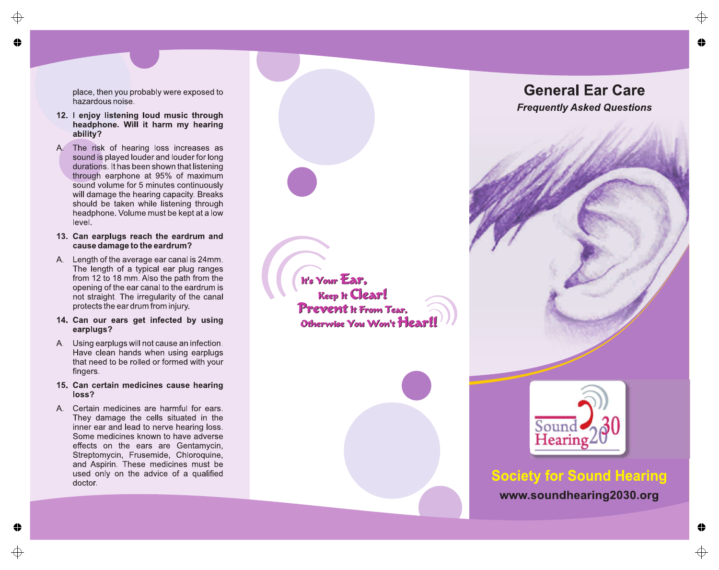place , the n yo u probabl y wer e expose d to hazardou s noise.

- 12. I enjoy listening loud music through headphone. Will it harm my hearing **ability?**
- A . Th e ris k o f hearin g los s increase s as soun d i s playe d loude r an d loude r fo r long durations . I t ha s bee n show n tha t listening through earphone at 95% of maximum soun d volum e fo r 5 minute s continuously will damag e th e hearin g capacity . Breaks shoul d b e take n whil e listenin g through headphone. Volume must be kept at a low level.
- 13. Can earplugs reach the eardrum and **caus e damag e t o th e eardrum?**
- A . Lengt h o f th e averag e ea r canal i s 24mm. Th e lengt h o f a typical ea r plu g ranges fro m 1 2 t o 1 8 mm . Als o th e pat h fro m the openin g o f th e ea r canal t o th e eardru m is no t straigh t Th e irregularit y o f th e canal protects the ear drum from injury.
- 14. Can our ears get infected by using **earplugs?**
- A . Usin g earplug s will no t caus e a n infection. Hav e clea n hand s whe n usin g earplugs tha t nee d t o b e rolle d o r forme d wit h your fingers.
- 15. Can certain medicines cause hearing **loss?**
- A . Certai n medicine s ar e harmful fo r ears. The y damag e th e cell s situate d i n the inner ear and lead to nerve hearing loss. Som e medicine s know n to hav e adverse effect s o n th e ear s ar e Gentamycin, Streptomycin , Frusemide , Chloroquine, an d Aspirin . Thes e medicine s mus t be use d onl y o n th e advic e o f a qualified doctor .

÷

**It' s You r Ear Kee p I t Clear! Preven t I t Fro m Tear, Otherwise Yo u Won' t Heart !**





# **Society for Sound Hearing**

**[www.soundhearing2030.or](http://www.soundhearing2030.org/) g**

♣